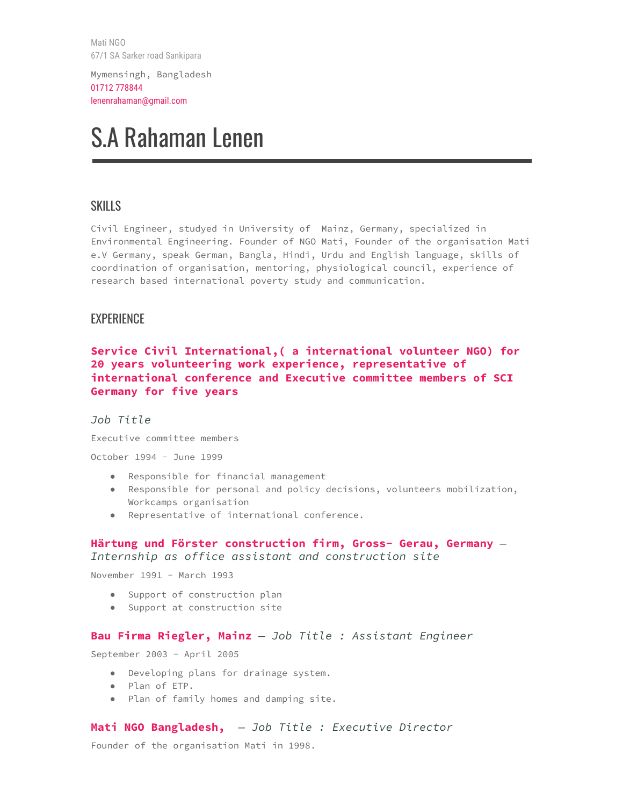Mati NGO 67/1 SA Sarker road Sankipara

Mymensingh, Bangladesh 01712 778844 lenenrahaman@gmail.com

# S.A Rahaman Lenen

## SKILLS

Civil Engineer, studyed in University of Mainz, Germany, specialized in Environmental Engineering. Founder of NGO Mati, Founder of the organisation Mati e.V Germany, speak German, Bangla, Hindi, Urdu and English language, skills of coordination of organisation, mentoring, physiological council, experience of research based international poverty study and communication.

## EXPERIENCE

## **Service Civil International,( a international volunteer NGO) for 20 years volunteering work experience, representative of international conference and Executive committee members of SCI Germany for five years**

#### *Job Title*

Executive committee members

October 1994 - June 1999

- Responsible for financial management
- Responsible for personal and policy decisions, volunteers mobilization, Workcamps organisation
- Representative of international conference.

## **Härtung und Förster construction firm, Gross- Gerau, Germany** *— Internship as office assistant and construction site*

November 1991 - March 1993

- Support of construction plan
- Support at construction site

#### **Bau Firma Riegler, Mainz** *— Job Title : Assistant Engineer*

September 2003 - April 2005

- Developing plans for drainage system.
- Plan of ETP.
- Plan of family homes and damping site.

#### **Mati NGO Bangladesh,** *— Job Title : Executive Director*

Founder of the organisation Mati in 1998.